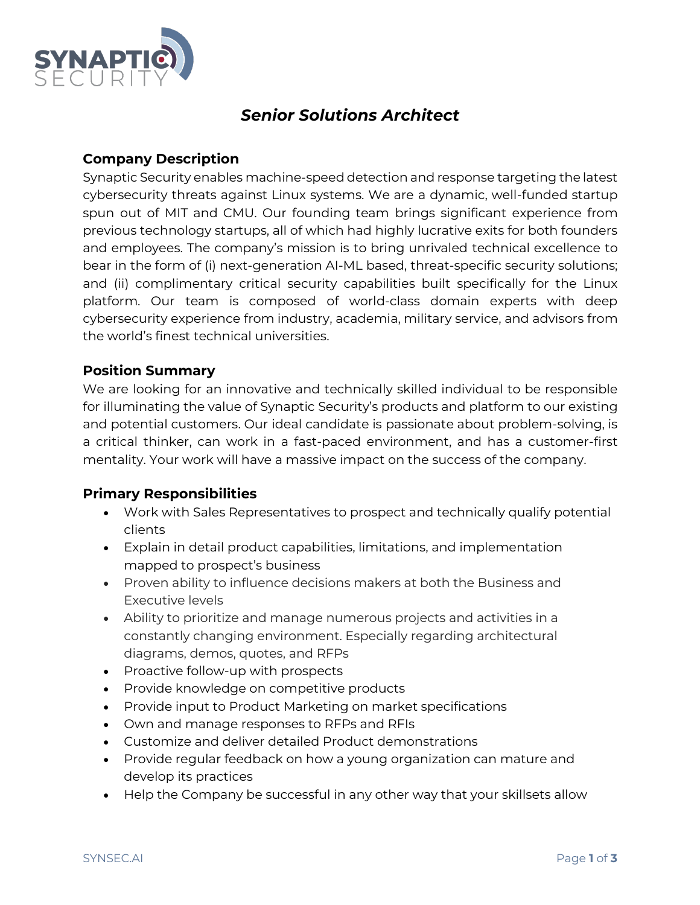

# *Senior Solutions Architect*

## **Company Description**

Synaptic Security enables machine-speed detection and response targeting the latest cybersecurity threats against Linux systems. We are a dynamic, well-funded startup spun out of MIT and CMU. Our founding team brings significant experience from previous technology startups, all of which had highly lucrative exits for both founders and employees. The company's mission is to bring unrivaled technical excellence to bear in the form of (i) next-generation AI-ML based, threat-specific security solutions; and (ii) complimentary critical security capabilities built specifically for the Linux platform. Our team is composed of world-class domain experts with deep cybersecurity experience from industry, academia, military service, and advisors from the world's finest technical universities.

## **Position Summary**

We are looking for an innovative and technically skilled individual to be responsible for illuminating the value of Synaptic Security's products and platform to our existing and potential customers. Our ideal candidate is passionate about problem-solving, is a critical thinker, can work in a fast-paced environment, and has a customer-first mentality. Your work will have a massive impact on the success of the company.

#### **Primary Responsibilities**

- Work with Sales Representatives to prospect and technically qualify potential clients
- Explain in detail product capabilities, limitations, and implementation mapped to prospect's business
- Proven ability to influence decisions makers at both the Business and Executive levels
- Ability to prioritize and manage numerous projects and activities in a constantly changing environment. Especially regarding architectural diagrams, demos, quotes, and RFPs
- Proactive follow-up with prospects
- Provide knowledge on competitive products
- Provide input to Product Marketing on market specifications
- Own and manage responses to RFPs and RFIs
- Customize and deliver detailed Product demonstrations
- Provide regular feedback on how a young organization can mature and develop its practices
- Help the Company be successful in any other way that your skillsets allow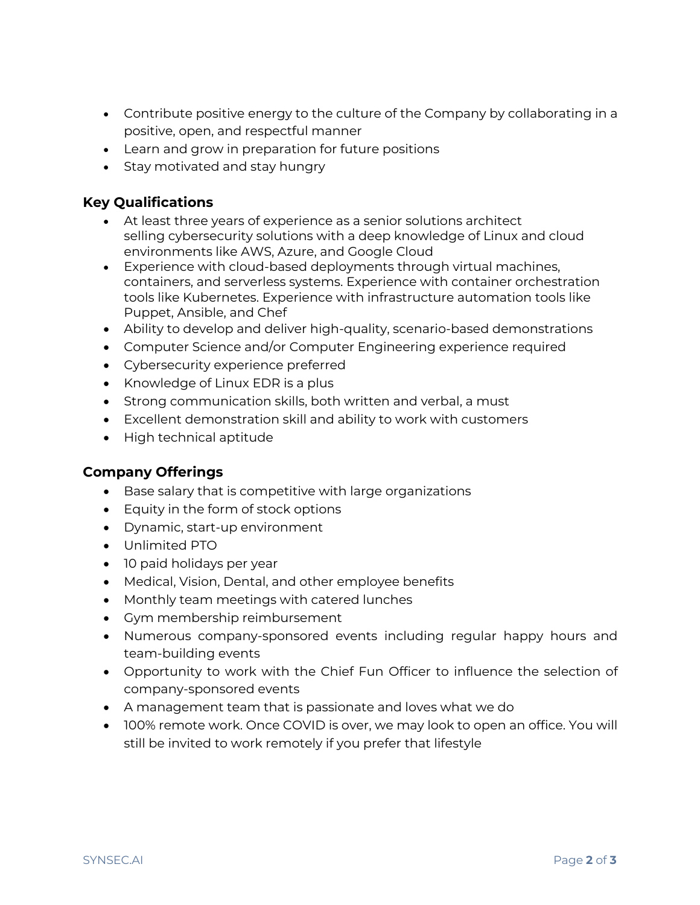- Contribute positive energy to the culture of the Company by collaborating in a positive, open, and respectful manner
- Learn and grow in preparation for future positions
- Stay motivated and stay hungry

# **Key Qualifications**

- At least three years of experience as a senior solutions architect selling cybersecurity solutions with a deep knowledge of Linux and cloud environments like AWS, Azure, and Google Cloud
- Experience with cloud-based deployments through virtual machines, containers, and serverless systems. Experience with container orchestration tools like Kubernetes. Experience with infrastructure automation tools like Puppet, Ansible, and Chef
- Ability to develop and deliver high-quality, scenario-based demonstrations
- Computer Science and/or Computer Engineering experience required
- Cybersecurity experience preferred
- Knowledge of Linux EDR is a plus
- Strong communication skills, both written and verbal, a must
- Excellent demonstration skill and ability to work with customers
- High technical aptitude

#### **Company Offerings**

- Base salary that is competitive with large organizations
- Equity in the form of stock options
- Dynamic, start-up environment
- Unlimited PTO
- 10 paid holidays per year
- Medical, Vision, Dental, and other employee benefits
- Monthly team meetings with catered lunches
- Gym membership reimbursement
- Numerous company-sponsored events including regular happy hours and team-building events
- Opportunity to work with the Chief Fun Officer to influence the selection of company-sponsored events
- A management team that is passionate and loves what we do
- 100% remote work. Once COVID is over, we may look to open an office. You will still be invited to work remotely if you prefer that lifestyle